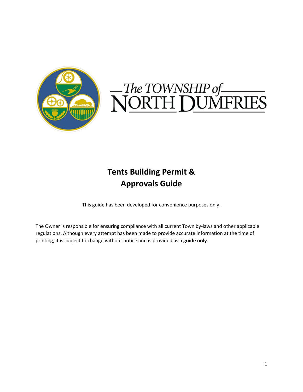

# The TOWNSHIP of<br>NORTH DUMFRIES

## **Tents Building Permit & Approvals Guide**

This guide has been developed for convenience purposes only.

The Owner is responsible for ensuring compliance with all current Town by-laws and other applicable regulations. Although every attempt has been made to provide accurate information at the time of printing, it is subject to change without notice and is provided as a **guide only**.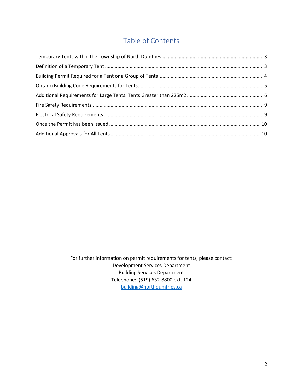## Table of Contents

For further information on permit requirements for tents, please contact: Development Services Department Building Services Department Telephone: (519) 632-8800 ext. 124 [building@northdumfries.ca](mailto:building@northdumfries.ca)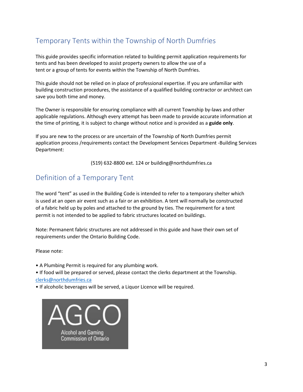## <span id="page-2-0"></span>Temporary Tents within the Township of North Dumfries

This guide provides specific information related to building permit application requirements for tents and has been developed to assist property owners to allow the use of a tent or a group of tents for events within the Township of North Dumfries.

This guide should not be relied on in place of professional expertise. If you are unfamiliar with building construction procedures, the assistance of a qualified building contractor or architect can save you both time and money.

The Owner is responsible for ensuring compliance with all current Township by-laws and other applicable regulations. Although every attempt has been made to provide accurate information at the time of printing, it is subject to change without notice and is provided as a **guide only**.

If you are new to the process or are uncertain of the Township of North Dumfries permit application process /requirements contact the Development Services Department -Building Services Department:

(519) 632-8800 ext. 124 or building@northdumfries.ca

## <span id="page-2-1"></span>Definition of a Temporary Tent

The word "tent" as used in the Building Code is intended to refer to a temporary shelter which is used at an open air event such as a fair or an exhibition. A tent will normally be constructed of a fabric held up by poles and attached to the ground by ties. The requirement for a tent permit is not intended to be applied to fabric structures located on buildings.

Note: Permanent fabric structures are not addressed in this guide and have their own set of requirements under the Ontario Building Code.

Please note:

• A Plumbing Permit is required for any plumbing work.

• If food will be prepared or served, please contact the clerks department at the Township. [clerks@northdumfries.ca](mailto:clerks@northdumfries.ca)

• If alcoholic beverages will be served, a Liquor Licence will be required.

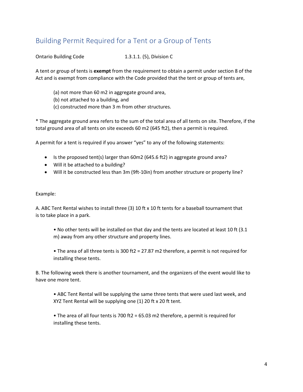## <span id="page-3-0"></span>Building Permit Required for a Tent or a Group of Tents

Ontario Building Code 1.3.1.1. (5), Division C

A tent or group of tents is **exempt** from the requirement to obtain a permit under section 8 of the Act and is exempt from compliance with the Code provided that the tent or group of tents are,

- (a) not more than 60 m2 in aggregate ground area,
- (b) not attached to a building, and
- (c) constructed more than 3 m from other structures.

\* The aggregate ground area refers to the sum of the total area of all tents on site. Therefore, if the total ground area of all tents on site exceeds 60 m2 (645 ft2), then a permit is required.

A permit for a tent is required if you answer "yes" to any of the following statements:

- Is the proposed tent(s) larger than 60m2 (645.6 ft2) in aggregate ground area?
- Will it be attached to a building?
- Will it be constructed less than 3m (9ft-10in) from another structure or property line?

#### Example:

A. ABC Tent Rental wishes to install three (3) 10 ft x 10 ft tents for a baseball tournament that is to take place in a park.

- No other tents will be installed on that day and the tents are located at least 10 ft (3.1 m) away from any other structure and property lines.
- The area of all three tents is 300 ft2 = 27.87 m2 therefore, a permit is not required for installing these tents.

B. The following week there is another tournament, and the organizers of the event would like to have one more tent.

• ABC Tent Rental will be supplying the same three tents that were used last week, and XYZ Tent Rental will be supplying one (1) 20 ft x 20 ft tent.

• The area of all four tents is 700 ft2 = 65.03 m2 therefore, a permit is required for installing these tents.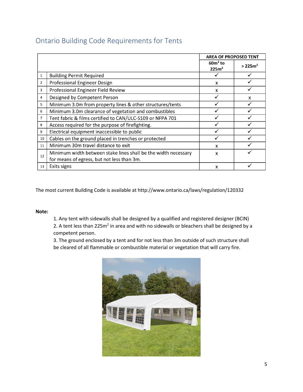|    |                                                                                                              | <b>AREA OF PROPOSED TENT</b>   |                      |
|----|--------------------------------------------------------------------------------------------------------------|--------------------------------|----------------------|
|    |                                                                                                              | $60m2$ to<br>225m <sup>2</sup> | > 225 m <sup>2</sup> |
| 1  | <b>Building Permit Required</b>                                                                              |                                |                      |
| 2  | <b>Professional Engineer Design</b>                                                                          | X                              |                      |
| 3  | Professional Engineer Field Review                                                                           | x                              |                      |
| 4  | Designed by Competent Person                                                                                 | ✓                              | X                    |
| 5  | Minimum 3.0m from property lines & other structures/tents                                                    |                                |                      |
| 6  | Minimum 3.0m clearance of vegetation and combustibles                                                        |                                |                      |
| 7  | Tent fabric & films certified to CAN/ULC-S109 or NFPA 701                                                    |                                |                      |
| 8  | Access required for the purpose of firefighting.                                                             |                                |                      |
| 9  | Electrical equipment inaccessible to public                                                                  |                                |                      |
| 10 | Cables on the ground placed in trenches or protected                                                         |                                |                      |
| 11 | Minimum 30m travel distance to exit                                                                          | X                              |                      |
| 12 | Minimum width between stake lines shall be the width necessary<br>for means of egress, but not less than 3m. | x                              |                      |
| 13 | Exits signs                                                                                                  | x                              |                      |

## <span id="page-4-0"></span>Ontario Building Code Requirements for Tents

The most current Building Code is available at http://www.ontario.ca/laws/regulation/120332

#### **Note:**

1. Any tent with sidewalls shall be designed by a qualified and registered designer (BCIN)

2. A tent less than  $225m^2$  in area and with no sidewalls or bleachers shall be designed by a competent person.

3. The ground enclosed by a tent and for not less than 3m outside of such structure shall be cleared of all flammable or combustible material or vegetation that will carry fire.

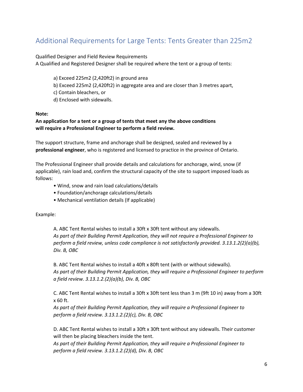## <span id="page-5-0"></span>Additional Requirements for Large Tents: Tents Greater than 225m2

Qualified Designer and Field Review Requirements

A Qualified and Registered Designer shall be required where the tent or a group of tents:

- a) Exceed 225m2 (2,420ft2) in ground area
- b) Exceed 225m2 (2,420ft2) in aggregate area and are closer than 3 metres apart,
- c) Contain bleachers, or
- d) Enclosed with sidewalls.

#### **Note:**

#### **An application for a tent or a group of tents that meet any the above conditions will require a Professional Engineer to perform a field review.**

The support structure, frame and anchorage shall be designed, sealed and reviewed by a **professional engineer**, who is registered and licensed to practice in the province of Ontario.

The Professional Engineer shall provide details and calculations for anchorage, wind, snow (if applicable), rain load and, confirm the structural capacity of the site to support imposed loads as follows:

- Wind, snow and rain load calculations/details
- Foundation/anchorage calculations/details
- Mechanical ventilation details (If applicable)

Example:

A. ABC Tent Rental wishes to install a 30ft x 30ft tent without any sidewalls. *As part of their Building Permit Application, they will not require a Professional Engineer to perform a field review, unless code compliance is not satisfactorily provided. 3.13.1.2(2)(a)(b), Div. B, OBC* 

B. ABC Tent Rental wishes to install a 40ft x 80ft tent (with or without sidewalls). *As part of their Building Permit Application, they will require a Professional Engineer to perform a field review. 3.13.1.2.(2)(a)(b), Div. B, OBC* 

C. ABC Tent Rental wishes to install a 30ft x 30ft tent less than 3 m (9ft 10 in) away from a 30ft x 60 ft.

*As part of their Building Permit Application, they will require a Professional Engineer to perform a field review. 3.13.1.2.(2)(c), Div. B, OBC* 

D. ABC Tent Rental wishes to install a 30ft x 30ft tent without any sidewalls. Their customer will then be placing bleachers inside the tent.

*As part of their Building Permit Application, they will require a Professional Engineer to perform a field review. 3.13.1.2.(2)(d), Div. B, OBC*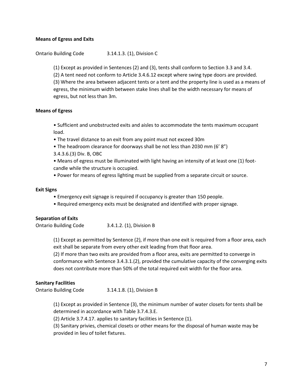#### **Means of Egress and Exits**

Ontario Building Code 3.14.1.3. (1), Division C

(1) Except as provided in Sentences (2) and (3), tents shall conform to Section 3.3 and 3.4. (2) A tent need not conform to Article 3.4.6.12 except where swing type doors are provided. (3) Where the area between adjacent tents or a tent and the property line is used as a means of egress, the minimum width between stake lines shall be the width necessary for means of egress, but not less than 3m.

#### **Means of Egress**

• Sufficient and unobstructed exits and aisles to accommodate the tents maximum occupant load.

- The travel distance to an exit from any point must not exceed 30m
- The headroom clearance for doorways shall be not less than 2030 mm (6' 8")
- 3.4.3.6.(3) Div. B, OBC

• Means of egress must be illuminated with light having an intensity of at least one (1) footcandle while the structure is occupied.

• Power for means of egress lighting must be supplied from a separate circuit or source.

#### **Exit Signs**

- Emergency exit signage is required if occupancy is greater than 150 people.
- Required emergency exits must be designated and identified with proper signage.

#### **Separation of Exits**

Ontario Building Code 3.4.1.2. (1), Division B

(1) Except as permitted by Sentence (2), if more than one exit is required from a floor area, each exit shall be separate from every other exit leading from that floor area.

(2) If more than two exits are provided from a floor area, exits are permitted to converge in conformance with Sentence 3.4.3.1.(2), provided the cumulative capacity of the converging exits does not contribute more than 50% of the total required exit width for the floor area.

#### **Sanitary Facilities**

Ontario Building Code 3.14.1.8. (1), Division B

(1) Except as provided in Sentence (3), the minimum number of water closets for tents shall be determined in accordance with Table 3.7.4.3.E.

(2) Article 3.7.4.17. applies to sanitary facilities in Sentence (1).

(3) Sanitary privies, chemical closets or other means for the disposal of human waste may be provided in lieu of toilet fixtures.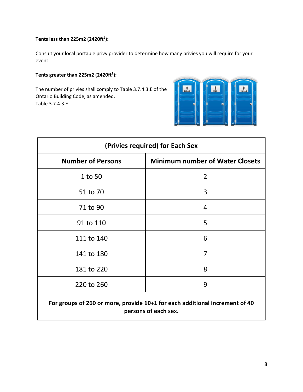#### **Tents less than 225m2 (2420ft2 ):**

Consult your local portable privy provider to determine how many privies you will require for your event.

#### **Tents greater than 225m2 (2420ft2 ):**

The number of privies shall comply to Table 3.7.4.3.E of the Ontario Building Code, as amended. Table 3.7.4.3.E



| (Privies required) for Each Sex |                                        |  |  |  |
|---------------------------------|----------------------------------------|--|--|--|
| <b>Number of Persons</b>        | <b>Minimum number of Water Closets</b> |  |  |  |
| 1 to 50                         | 2                                      |  |  |  |
| 51 to 70                        | 3                                      |  |  |  |
| 71 to 90                        | 4                                      |  |  |  |
| 91 to 110                       | 5                                      |  |  |  |
| 111 to 140                      | 6                                      |  |  |  |
| 141 to 180                      | 7                                      |  |  |  |
| 181 to 220                      | 8                                      |  |  |  |
| 220 to 260                      | 9                                      |  |  |  |
|                                 |                                        |  |  |  |

### For groups of 260 or more, provide 10+1 for each additional increment of 40 persons of each sex.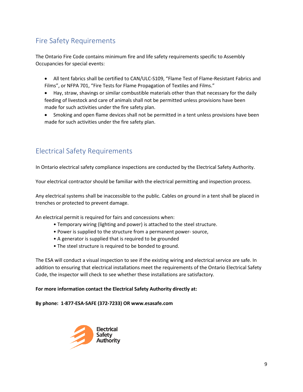## <span id="page-8-0"></span>Fire Safety Requirements

The Ontario Fire Code contains minimum fire and life safety requirements specific to Assembly Occupancies for special events:

- All tent fabrics shall be certified to CAN/ULC-S109, "Flame Test of Flame-Resistant Fabrics and Films", or NFPA 701, "Fire Tests for Flame Propagation of Textiles and Films."
- Hay, straw, shavings or similar combustible materials other than that necessary for the daily feeding of livestock and care of animals shall not be permitted unless provisions have been made for such activities under the fire safety plan.
- Smoking and open flame devices shall not be permitted in a tent unless provisions have been made for such activities under the fire safety plan.

## <span id="page-8-1"></span>Electrical Safety Requirements

In Ontario electrical safety compliance inspections are conducted by the Electrical Safety Authority.

Your electrical contractor should be familiar with the electrical permitting and inspection process.

Any electrical systems shall be inaccessible to the public. Cables on ground in a tent shall be placed in trenches or protected to prevent damage.

An electrical permit is required for fairs and concessions when:

- Temporary wiring (lighting and power) is attached to the steel structure.
- Power is supplied to the structure from a permanent power- source,
- A generator is supplied that is required to be grounded
- The steel structure is required to be bonded to ground.

The ESA will conduct a visual inspection to see if the existing wiring and electrical service are safe. In addition to ensuring that electrical installations meet the requirements of the Ontario Electrical Safety Code, the inspector will check to see whether these installations are satisfactory.

#### **For more information contact the Electrical Safety Authority directly at:**

#### **By phone: 1-877-ESA-SAFE (372-7233) OR www.esasafe.com**

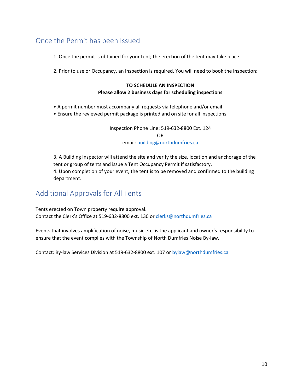## <span id="page-9-0"></span>Once the Permit has been Issued

1. Once the permit is obtained for your tent; the erection of the tent may take place.

2. Prior to use or Occupancy, an inspection is required. You will need to book the inspection:

#### **TO SCHEDULE AN INSPECTION Please allow 2 business days for scheduling inspections**

- 
- A permit number must accompany all requests via telephone and/or email
- Ensure the reviewed permit package is printed and on site for all inspections

Inspection Phone Line: 519-632-8800 Ext. 124

OR

email: [building@northdumfries.ca](mailto:building@northdumfries.ca)

3. A Building Inspector will attend the site and verify the size, location and anchorage of the tent or group of tents and issue a Tent Occupancy Permit if satisfactory. 4. Upon completion of your event, the tent is to be removed and confirmed to the building department.

## <span id="page-9-1"></span>Additional Approvals for All Tents

Tents erected on Town property require approval. Contact the Clerk's Office at 519-632-8800 ext. 130 or [clerks@northdumfries.ca](mailto:clerks@northdumfries.ca)

Events that involves amplification of noise, music etc. is the applicant and owner's responsibility to ensure that the event complies with the Township of North Dumfries Noise By-law.

Contact: By-law Services Division at 519-632-8800 ext. 107 or [bylaw@northdumfries.ca](mailto:bylaw@northdumfries.ca)